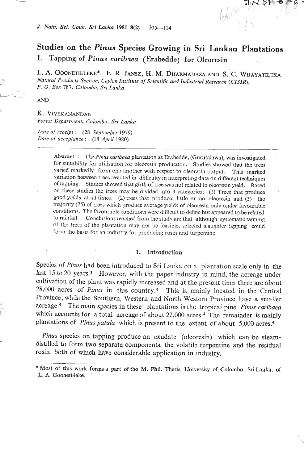#### Studies on the Pinus Species Growing in Sri Lankan Plantations Tapping of Pinus caribaea (Erabedde) for Oleoresin L.

L. A. GOONETILLEKE<sup>\*</sup>, E. R. JANSZ, H. M. DHARMADASA AND S. C. WIJAYATILEKA Natural Products Section, Ceylon Institute of Scientific and Industrial Research (CISIR), P. O. Box 787, Colombo, Sri Lanka.

#### **AND**

K. VIVEKANANDAN Forest Department, Colombo, Sri Lanka.

Date of receipt: (28 September 1979) Date of acceptance: (18 April 1980)

> Abstract: The Pinus caribaea plantation at Erabedde, (Gurutalawa), was investigated for suitability for utilisation for oleoresin production. Studies showed that the trees varied markedly from one another with respect to oleoresin output. This marked variation between trees resulted in difficulty in interpreting data on different techniques of tapping. Studies showed that girth of tree was not related to oleoresin yield. Based on these studies the trees may be divided into 3 categories: (1) Trees that produce good yields at all times, (2) trees that produce little or no oleoresin and (3) the majority (75) of trees which produce average yields of oleoresin only under favourable conditions. The favourable conditions were difficult to define but appeared to be rolated to rainfall. Conclusions reached from the study are that although systematic tapping of the trees of the plantation may not be feasible, selected slaughter tapping could form the basis for an industry for producing rosin and turpentine.

#### 1. Introduction

Species of Pinus had been introduced to Sri Lanka on a plantation scale only in the last 15 to 20 years.<sup>3</sup> However, with the paper industry in mind, the acreage under cultivation of the plant was rapidly increased and at the present time there are about 28,000 acres of Pinus in this country.<sup>4</sup> This is mainly located in the Central Province; while the Southern, Western and North Western Province have a smaller acreage.<sup>4</sup> The main species in these plantations is the tropical pine Pinus caribaea which accounts for a total acreage of about 22,000 acres.<sup>4</sup> The remainder is mainly plantations of *Pinus patula* which is present to the extent of about 5,000 acres.<sup>4</sup>

Pinus species on tapping produce an exudate (oleoresin) which can be steamdistilled to form two separate components, the volatile turpentine and the residual rosin, both of which have considerable application in industry.

<sup>\*</sup> Most of this work forms a part of the M. Phil. Thesis, University of Colombo, Sri Lanka, of L. A. Goonetilleke.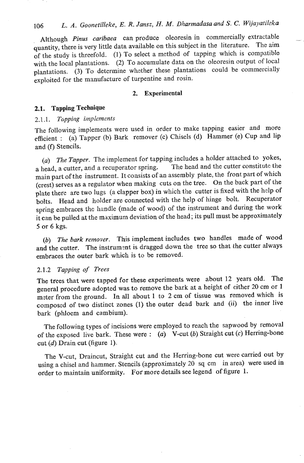## 106 L. A. Goonetilleke, E. R. Jansz, H. M. Dharmadasa and *S. C. Wijayatileka*

Although Pinus caribaea can produce oleoresin in commercially extractable quantity, there is very little data available on this subject in the literature. The aim of the study is threefold. (1) To select a method of tapping which is compatible with the local plantations. (2) To accumulate data on the oleoresin output of local plantations. **(3)** To determine whether these plantations could be commercially exploited for the manufacture of turpentine and rosin.

#### **2. Experimental**

### **2.1. Tapping Technique**

### 2.1.1. Tapping implements

The following implements were used in order to make tapping easier and more efficient : (a) Tapper (b) Bark remover (c) Chisels (d) Hammer (e) Cup and lip and (f) Stencils.

(a) The Tapper. The implement for tapping includes a holder attached to yokes, a head, a cutter, and a recuporator spring. The head and the cutter constitute the main part of the instrument. It consists of an assembly plate, the front part of which (crest) serves as a regulator when making cuts on the tree. On the back part of the plate there are two lugs (a clapper box) in which the cutter is fixed with the help of bolts. Head and holder are connected with the help of hinge bolt. Recuperator spring embraces the handle (made of wood) of the instrument and during the work it can be pulled at the maximum deviation of the head; its pull must be approximately 5 or 6 kgs.

(b) The bark remover. This implement includes two handles made of wood and the cutter. The instrument is dragged down the tree so that the cutter always embraces the outer bark which is to be removed.

### 2.1.2 **Tapping** of Trees

The trees that were tapped for these experiments were about 12 years old. The general procedure adopted was to remove the bark at **a** height of either **20** *cm* or **1**  meter from the ground. In all about 1 to **2** cm of tissue was removed which is composed of two distinct zones **(1)** the outer dead bark and **(ii)** the inner live bark (phloem and cambium).

The following types of incisions were employed to reach the sapwood by removal of the exposed live bark. These were : *(a)* V-cut (b) Straight cut (c) Herring-bone cut  $(d)$  Drain cut (figure 1).

The V-cut, Draincut, Straight cut and the Herring-bone cut were carried out by using a chisel and hammer. Stencils (approximately 20 sq cm in area) were used in order to maintain uniformity. For more details see legend of figure **1.**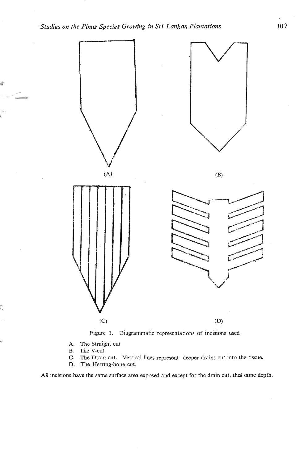

Figure 1. Diagrammatic representations of incisions used.

- **A.** The Straight cut
- B. The V-cut<br>C. The Drain

Ġ

- The Drain cut. Vertical lines represent deeper drains cut into the tissue.
- D. The Herring-bone cut.

All incisions have the same surface area exposed and except for the drain cut, the same depth.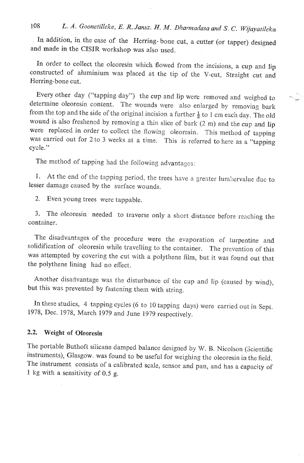# 108 *L. A. Goonetilleke, E. R. Jansz. H. M. Dharmadasa and S. C. Wijayatileka*

In addition, in the case of the Herring-bone cut, a cutter (or tapper) designed and made in the CISIR workshop was also used.

In order to collect the oleoresin which flowed from the incisions, a cup and lip constructed of aluminium was placed at the tip of the V-cut, Straight cut and Herring-bone cut.

Every other day ("tapping day") the cup and lip were removed and weighed to determine oleoresin content. The wounds were also enlarged by removing bark from the top and the side of the original incision a further  $\frac{1}{2}$  to 1 cm each day. The old wound is also freshencd by removing a thin slice of bark (2 m) and the cup and lip were replaced in order to collect the flowing oleoresin. This method of tapping was carried out for 2 to 3 weeks at a time. This is referred to here as a "tapping cycle."

The method of tapping had the following advantages:

1. At the end of the tapping period, the trees have a grenter lumbervalue duc to lesser damage caused by the surface wounds.

2. Even young trees were tappable.

3. The oleoresin needed to traverse only a short distance before reaching the container.

The disadvantages of the procedure were the evaporation of turpentine and solidification of oleoresin while travelling to the container. The prevention of this was attornpted by covering the cut with a polythene film, but it was found out that the polythene lining had no effect.

Another disadvantage was the disturbance of the cup and lip (caused by wind), but this was prevented by fastening them with string.

In these studies, 4 tapping cycles (6 to 10 tapping days) were carried out in Sept. 1978, Dee. 1978, March 1979 and June 1979 respectively.

## **2.2. Weight** of **Oleoresin**

The portable Buthoft silicane damped balance designed by W. B. Nicolson (Scientific instruments), Glasgow. was found to be useful for weighing the oleoresin in the field. The instrument consists of a calibrated scale, sensor and pan, and has a capacity of 1 kg with a sensitivity of 0.5 g.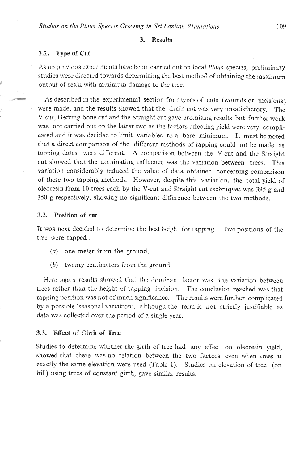#### 3. Results

#### **3.1.** Type **sf Cot**

As no previous experiments have been carried out on local *Pinus* species, preliminary studies were directed towards determining the best method of obtaining the maximum **<sup>c</sup>**output of resin with minimurn damage to the tree.

As described in the experimental section four types of cuts (wounds or incisions) were made, and the results showed that the drain cut was very unsztisfactory. **The**  V-cut, Herring-bone cut and the Straight cut gave promising results but further work was not carried out on the latter two as the factors affecting yield were very complicated and it was decided to limit variables to a bare minimum. It must be noted that a direct comparison of the different methods of tapping could not be made as tapping dates were different. **A** comparison between the V-cut and the Straight cut showed that the dominating influence was the variation between trees. This variation considerably reduced the value of data obtained concerning comparison of these two lapping methods. However, despite this variation, the total yield of oleoresin from 10 trees each by the V-cut and Straight cut techniques was **395** g **and**  350 g respectively, showing no significant difference between the two methods.

#### **3.2. Position of cat**

It was next decided to determine the best height for tapping. Two positions of the tree were tapped :

- (a) one meter from the ground,
- (b) twenty centimeters from the ground.

Here again results showed that the dominant factor was the variation between trees rather than the height of tapping incision. The conclusion reached was that tapping position was not of much significance. The results were further complicated by a possible 'seasonal variation', although the term is not strictly justifiable as data was collected over the period of a single year.

#### **3.3. ERect** sf **Girth 0% Tree**

Studies to determine whether the girth of tree had any effect on oleoresin yield, showed that there was no relation between the two factors even when trees at exactly the same elevation were used (Table 1). Studies on elevation of tree (on hill) using trees of constant girth, gave similar results.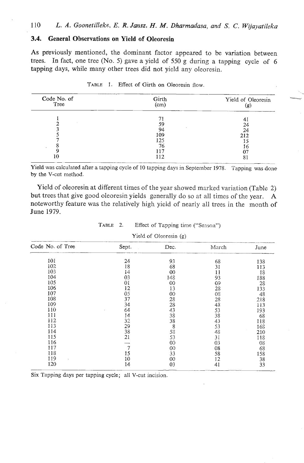#### **3.4. General Observations on Yield of Oleoresin**

As previously mentioned, the dominant factor appeared to be variation between trees. In fact, one tree (No. 5) gave a yield of 550 **g** during a tapping cycle of 6

| Effect of Girth on Oleoresin flow.<br>TABLE 1. |               |                           |  |  |
|------------------------------------------------|---------------|---------------------------|--|--|
| Code No. of<br>Tree                            | Girth<br>(cm) | Yield of Oleoresin<br>(g) |  |  |
|                                                | 71            | 41                        |  |  |
|                                                | 59            | 24                        |  |  |
|                                                | 94<br>109     | 24                        |  |  |
|                                                | 125           | 212<br>15                 |  |  |
|                                                | 76            | 16                        |  |  |
|                                                | 117           | 07                        |  |  |
| 10                                             | 112           | 81                        |  |  |

|  |  |  | TABLE 1. Effect of Girth on Oleoresin flow. |  |
|--|--|--|---------------------------------------------|--|
|  |  |  |                                             |  |

by the V-cut method.

Yield of oleoresin at different times of the year showed marked variation (Table 2) but trees that give good oleoresin yields generally do so at all timcs of the year. **A**  noteworthy feature was the relatively high yield of nearly all trees in the month of June 1979.

| June 1979.             |             |                                   |       |      |  |  |
|------------------------|-------------|-----------------------------------|-------|------|--|--|
|                        | TABLE<br>2. | Effect of Tapping time ("Season") |       |      |  |  |
| Yield of Oleoresin (g) |             |                                   |       |      |  |  |
| Code No. of Tree       | Sept.       | Dec.                              | March | June |  |  |
| 101                    | 24          | 93                                | 68    | 138  |  |  |
| 102                    | 18          | 68                                | 31    | 113  |  |  |
| 103                    | 14          | 00                                | 11    | 18   |  |  |
| 104                    | 03          | 148                               | 93    | 188  |  |  |
| 105                    | 01          | $^{00}$                           | 09    | 28   |  |  |
| 106                    | 12          | 13                                | 28    | 133  |  |  |
| 107                    | 05          | $00\,$                            | 08    | 48   |  |  |
| 108                    | 37          | 28                                | 28    | 218  |  |  |
| 109                    | 34          | 28                                | 48    | 113  |  |  |
| 110                    | 64          | 43                                | 53    | 193  |  |  |
| 111                    | 14          | 38                                | 38    | 68   |  |  |
| 112                    | 32          | 38                                | 43    | 118  |  |  |
| 113                    | 29          | 8                                 | 53    | 168  |  |  |
| 114                    | 38          | 58                                | 48    | 210  |  |  |
| 115                    | 21          | 53                                | 31    | 118  |  |  |
| 116                    |             | 00                                | 03    | 08   |  |  |
| 117                    | $\tau$      | 00                                | 08    | 68   |  |  |
| 118                    | 15          | 33                                | 58    | 158  |  |  |
| 119                    | 10          | $00\,$                            | 12    | 38   |  |  |
| 120                    | 14          | 03                                | 41    | 33   |  |  |

# TABLE 2. Effect of Tapping time ("Season")

Six Tapping days per tapping cycle; all V-cut incision.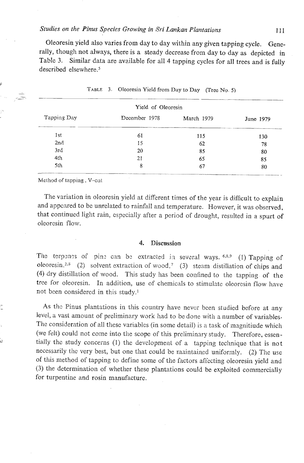#### *Studies on the Pinus Species* **Growing** *in Sri Lankan Plantations* **<sup>111</sup>**

Oleoresin yield also varies from day to day within any given tapping cycle. Generally, though not always, there is a steady decrease from day to day as depicted in Table **3.** Similar data are available for all 4 tapping cycles for all trees and is fully described elsewhere. $5$ 

|             | Yield of Oleoresin |            |           |
|-------------|--------------------|------------|-----------|
| Tapping Day | December 1978      | March 1979 | June 1979 |
| 1st         | 61                 | 115        | 130       |
| 2nd         | 15                 | 62         | 78        |
| 3rd         | 20                 | 85         | 80        |
| 4th         | 21                 | 65         | 85        |
| 5th         | 8                  | 67         | 80        |

|  |  | TABLE 3. Oleoresin Yield from Day to Day (Tree No. 5) |
|--|--|-------------------------------------------------------|
|--|--|-------------------------------------------------------|

#### Melhod **of** tapping, V-cot

**Y** 

-

The variation in oleoresin yield at different times of the year is difficult to explain and appeared to be unrelated to rainfall and temperature. However, it was observed, that continued light rain, cspecinlly after a period of drought, rcsulted in a spurt of oleorcsin flow.

#### **4. Discussion**

The terpenes of pine can be extracted in soveral ways.  $6,8,9$  (1) Tapping of oleoresin,<sup>2,8</sup> (2) solvent extraction of wood,<sup>7</sup> (3) steam distillation of chips and (4) dry distillation of wood. This study has been confined to the tapping of the tree for oleoresin. In addition, use of chemicals to stimulate oleoresin flow have not been considered in this study.'

<sup>+</sup>**As** thc Pinus plantations in this country have never been studied before at any **<sup>k</sup>** level, a vast amount of preliminary work had to be done with a number of variables. The consideration of all these variables (in some detail) is a task of magnitiude which (we felt) could not come into the scope of this preliminary study. Therefore, essentially the study concerns (1) the development of a tapping technique that is not necessarily the very best, but one that could be maintained uniformly. (2) The use of this method of tapping to define some of the factors affecting oleoresin yield and (3) the determination of whether these plantations could be exploited commercially for turpentine and rosin manufacture.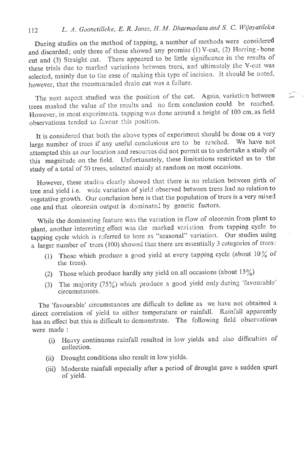#### L. A. Goonetilleke, E. R. Jansz, H. M. Dharmadasa and S. C. Wijayatileka 112

During studies on the method of tapping, a number of methods were considered and discarded; only three of these showed any promise (1) V-cut, (2) Herring-bone cut and (3) Straight cut. There appeared to be little significance in the results of these trials due to marked variations between trees, and ultimately the V-cut was selected, mainly due to the ease of making this type of incision. It should be noted, however, that the recommended drain cut was a failure.

The next aspect studied was the position of the cut. Again, variation between trees masked the value of the results and no firm conclusion could be reached. However, in most experiments, tapping was done around a height of 100 cm, as field observations tended to favour this position.

 $\mathbb{C}^n$ 

It is considered that both the above types of experiment should be done on a very large number of trees if any useful conclusions are to be reached. We have not attempted this as our location and resources did not permit us to undertake a study of this magnitude on the field. Unfortunately, these limitations restricted us to the study of a total of 50 trees, selected mainly at random on most occasions.

However, these studies clearly showed that there is no relation between girth of tree and yield i.e. wide variation of yield observed between trees had no relation to vegetative growth. Our conclusion here is that the population of trees is a very mixed one and that oleoresin output is dominated by genetic factors.

While the dominating feature was the variation in flow of oleoresin from plant to plant, another interesting effect was the marked variation from tapping cycle to tapping cycle which is referred to here as "seasonal" variation. Our studies using a larger number of trees (100) showed that there are essentially 3 categories of trees:

- (1) Those which produce a good yield at every tapping cycle (about  $10\%$  of the trees).
- (2) Those which produce hardly any yield on all occasions (about  $15\%$ )
- (3) The majority (75%) which produce a good yield only during 'favourable' circumstances.

The 'favourable' circumstances are difficult to define as we have not obtained a direct correlation of yield to either temperature or rainfall. Rainfall apparently has an effect but this is difficult to demonstrate. The following field observations were made :

- (i) Heavy continuous rainfall resulted in low yields and also difficulties of collection.
- (ii) Drought conditions also result in low yields.
- (iii) Moderate rainfall especially after a period of drought gave a sudden spurt of yield.